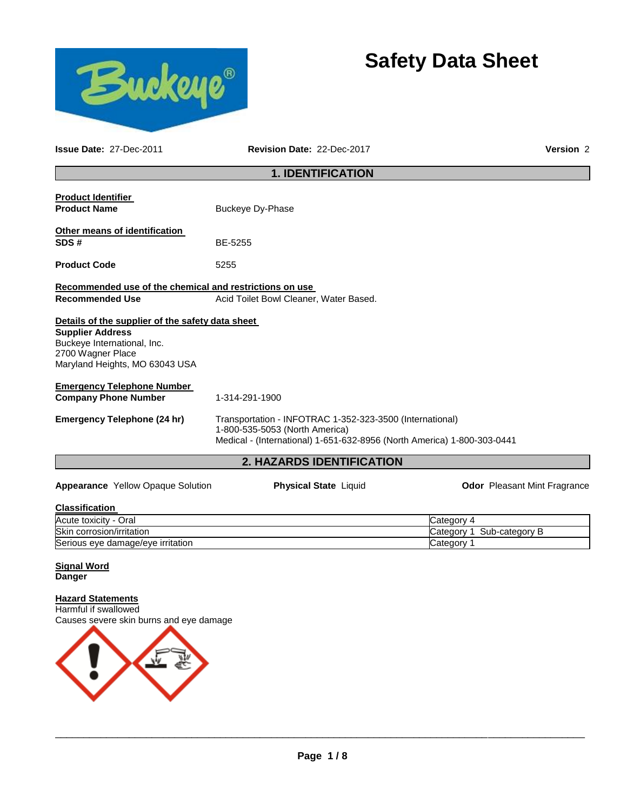



**Issue Date:** 27-Dec-2011 **Revision Date:** 22-Dec-2017 **Version** 2

# **1. IDENTIFICATION**

| <b>Product Identifier</b><br><b>Product Name</b>        | Buckeye Dy-Phase                                                        |  |  |
|---------------------------------------------------------|-------------------------------------------------------------------------|--|--|
|                                                         |                                                                         |  |  |
| <b>Other means of identification</b>                    |                                                                         |  |  |
| SDS#                                                    | BE-5255                                                                 |  |  |
| <b>Product Code</b>                                     | 5255                                                                    |  |  |
| Recommended use of the chemical and restrictions on use |                                                                         |  |  |
| <b>Recommended Use</b>                                  | Acid Toilet Bowl Cleaner, Water Based.                                  |  |  |
| Details of the supplier of the safety data sheet        |                                                                         |  |  |
| <b>Supplier Address</b>                                 |                                                                         |  |  |
| Buckeye International, Inc.                             |                                                                         |  |  |
| 2700 Wagner Place                                       |                                                                         |  |  |
| Maryland Heights, MO 63043 USA                          |                                                                         |  |  |
| <b>Emergency Telephone Number</b>                       |                                                                         |  |  |
| <b>Company Phone Number</b>                             | 1-314-291-1900                                                          |  |  |
| <b>Emergency Telephone (24 hr)</b>                      | Transportation - INFOTRAC 1-352-323-3500 (International)                |  |  |
|                                                         | 1-800-535-5053 (North America)                                          |  |  |
|                                                         | Medical - (International) 1-651-632-8956 (North America) 1-800-303-0441 |  |  |
|                                                         | <b>2. HAZARDS IDENTIFICATION</b>                                        |  |  |
|                                                         |                                                                         |  |  |

Appearance Yellow Opaque Solution **Physical State** Liquid **Concession Codor Pleasant Mint Fragrance** 

| <b>Classification</b>             |                              |
|-----------------------------------|------------------------------|
| Acute toxicity - Oral             | Category 4                   |
| Skin corrosion/irritation         | Sub-category B<br>Category 1 |
| Serious eye damage/eye irritation | Category                     |

## **Signal Word Danger**

**Hazard Statements** Harmful if swallowed Causes severe skin burns and eye damage

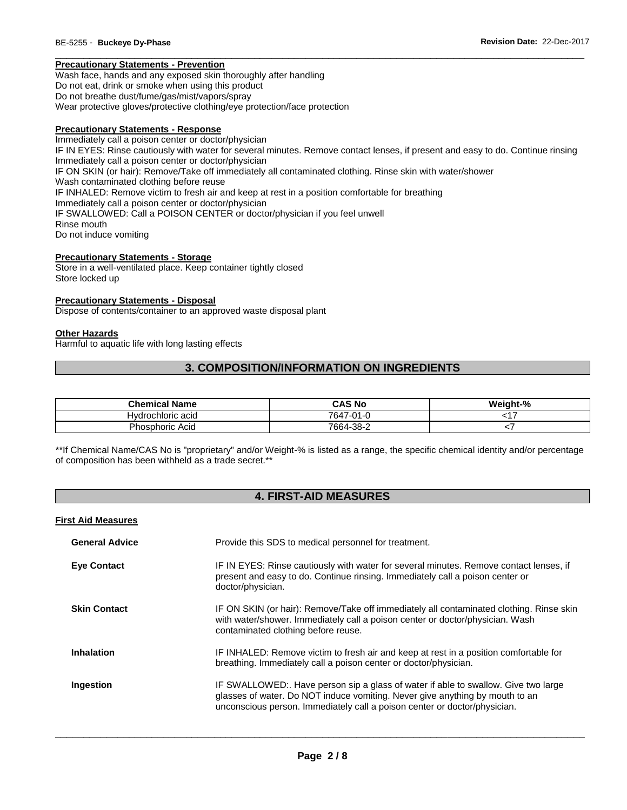## **Precautionary Statements - Prevention**

Wash face, hands and any exposed skin thoroughly after handling Do not eat, drink or smoke when using this product Do not breathe dust/fume/gas/mist/vapors/spray Wear protective gloves/protective clothing/eye protection/face protection

## **Precautionary Statements - Response**

Immediately call a poison center or doctor/physician IF IN EYES: Rinse cautiously with water for several minutes. Remove contact lenses, if present and easy to do. Continue rinsing Immediately call a poison center or doctor/physician IF ON SKIN (or hair): Remove/Take off immediately all contaminated clothing. Rinse skin with water/shower Wash contaminated clothing before reuse IF INHALED: Remove victim to fresh air and keep at rest in a position comfortable for breathing Immediately call a poison center or doctor/physician IF SWALLOWED: Call a POISON CENTER or doctor/physician if you feel unwell Rinse mouth Do not induce vomiting

\_\_\_\_\_\_\_\_\_\_\_\_\_\_\_\_\_\_\_\_\_\_\_\_\_\_\_\_\_\_\_\_\_\_\_\_\_\_\_\_\_\_\_\_\_\_\_\_\_\_\_\_\_\_\_\_\_\_\_\_\_\_\_\_\_\_\_\_\_\_\_\_\_\_\_\_\_\_\_\_\_\_\_\_\_\_\_\_\_\_\_\_\_

## **Precautionary Statements - Storage**

Store in a well-ventilated place. Keep container tightly closed Store locked up

#### **Precautionary Statements - Disposal**

Dispose of contents/container to an approved waste disposal plant

#### **Other Hazards**

Harmful to aquatic life with long lasting effects

# **3. COMPOSITION/INFORMATION ON INGREDIENTS**

| <b>Chemical Name</b> | CAS No          | Weight-% |
|----------------------|-----------------|----------|
| Hydrochloric acid    | 7647<br>'7-01-u |          |
| Phosphoric Acid      | 7664-38-2       |          |

\*\*If Chemical Name/CAS No is "proprietary" and/or Weight-% is listed as a range, the specific chemical identity and/or percentage of composition has been withheld as a trade secret.\*\*

## **4. FIRST-AID MEASURES**

#### **First Aid Measures**

| <b>General Advice</b> | Provide this SDS to medical personnel for treatment.                                                                                                                                                                                            |
|-----------------------|-------------------------------------------------------------------------------------------------------------------------------------------------------------------------------------------------------------------------------------------------|
| <b>Eve Contact</b>    | IF IN EYES: Rinse cautiously with water for several minutes. Remove contact lenses, if<br>present and easy to do. Continue rinsing. Immediately call a poison center or<br>doctor/physician.                                                    |
| <b>Skin Contact</b>   | IF ON SKIN (or hair): Remove/Take off immediately all contaminated clothing. Rinse skin<br>with water/shower. Immediately call a poison center or doctor/physician. Wash<br>contaminated clothing before reuse.                                 |
| Inhalation            | IF INHALED: Remove victim to fresh air and keep at rest in a position comfortable for<br>breathing. Immediately call a poison center or doctor/physician.                                                                                       |
| Ingestion             | IF SWALLOWED:. Have person sip a glass of water if able to swallow. Give two large<br>glasses of water. Do NOT induce vomiting. Never give anything by mouth to an<br>unconscious person. Immediately call a poison center or doctor/physician. |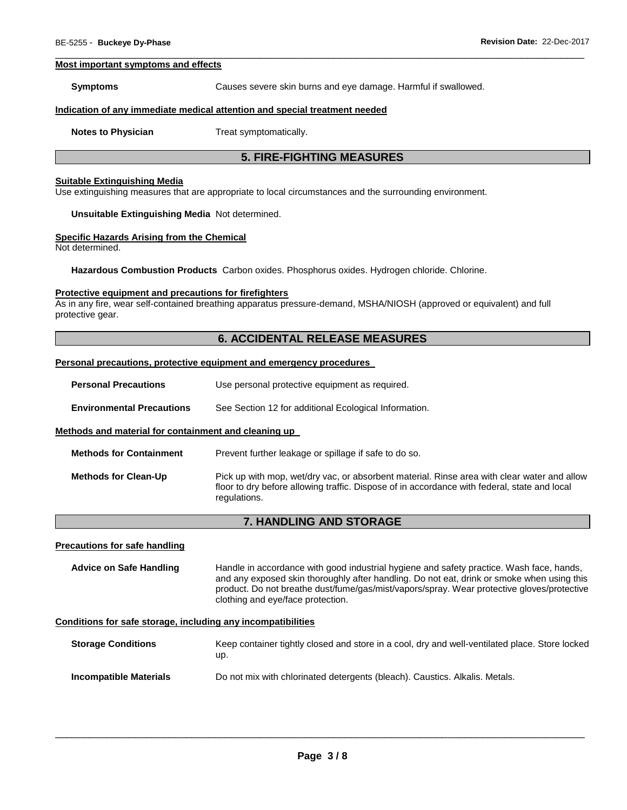#### **Most important symptoms and effects**

**Symptoms** Causes severe skin burns and eye damage. Harmful if swallowed.

#### **Indication of any immediate medical attention and special treatment needed**

**Notes to Physician**  Treat symptomatically.

## **5. FIRE-FIGHTING MEASURES**

\_\_\_\_\_\_\_\_\_\_\_\_\_\_\_\_\_\_\_\_\_\_\_\_\_\_\_\_\_\_\_\_\_\_\_\_\_\_\_\_\_\_\_\_\_\_\_\_\_\_\_\_\_\_\_\_\_\_\_\_\_\_\_\_\_\_\_\_\_\_\_\_\_\_\_\_\_\_\_\_\_\_\_\_\_\_\_\_\_\_\_\_\_

#### **Suitable Extinguishing Media**

Use extinguishing measures that are appropriate to local circumstances and the surrounding environment.

**Unsuitable Extinguishing Media** Not determined.

#### **Specific Hazards Arising from the Chemical**

Not determined.

**Hazardous Combustion Products** Carbon oxides. Phosphorus oxides. Hydrogen chloride. Chlorine.

#### **Protective equipment and precautions for firefighters**

As in any fire, wear self-contained breathing apparatus pressure-demand, MSHA/NIOSH (approved or equivalent) and full protective gear.

## **6. ACCIDENTAL RELEASE MEASURES**

#### **Personal precautions, protective equipment and emergency procedures**

| <b>Personal Precautions</b> | Use personal protective equipment as required. |  |
|-----------------------------|------------------------------------------------|--|
|                             |                                                |  |

**Environmental Precautions** See Section 12 for additional Ecological Information.

#### **Methods and material for containment and cleaning up**

| <b>Methods for Containment</b> | Prevent further leakage or spillage if safe to do so.                                                                                                                                                       |
|--------------------------------|-------------------------------------------------------------------------------------------------------------------------------------------------------------------------------------------------------------|
| <b>Methods for Clean-Up</b>    | Pick up with mop, wet/dry vac, or absorbent material. Rinse area with clear water and allow<br>floor to dry before allowing traffic. Dispose of in accordance with federal, state and local<br>regulations. |

## **7. HANDLING AND STORAGE**

#### **Precautions for safe handling**

**Advice on Safe Handling** Handle in accordance with good industrial hygiene and safety practice. Wash face, hands, and any exposed skin thoroughly after handling. Do not eat, drink or smoke when using this product. Do not breathe dust/fume/gas/mist/vapors/spray. Wear protective gloves/protective clothing and eye/face protection.

### **Conditions for safe storage, including any incompatibilities**

| <b>Storage Conditions</b> | Keep container tightly closed and store in a cool, dry and well-ventilated place. Store locked<br>up. |
|---------------------------|-------------------------------------------------------------------------------------------------------|
| Incompatible Materials    | Do not mix with chlorinated detergents (bleach). Caustics. Alkalis. Metals.                           |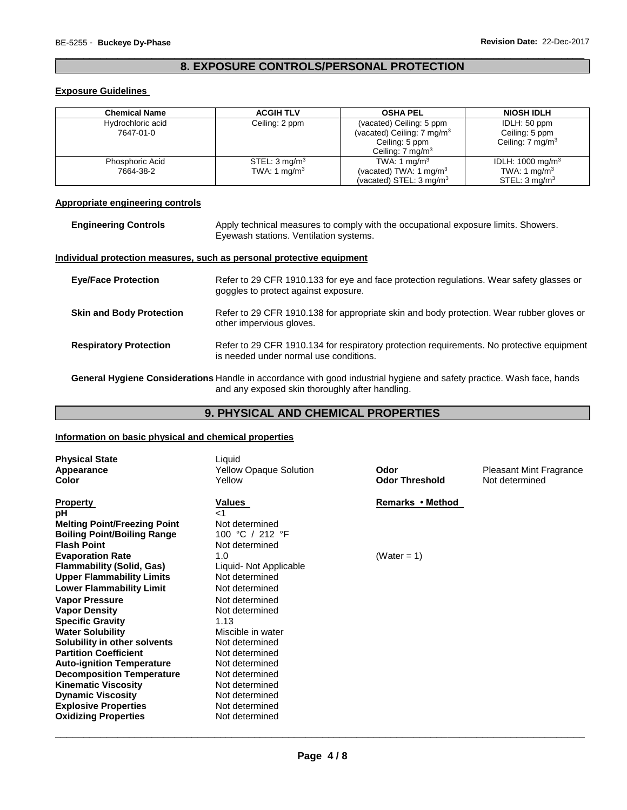## \_\_\_\_\_\_\_\_\_\_\_\_\_\_\_\_\_\_\_\_\_\_\_\_\_\_\_\_\_\_\_\_\_\_\_\_\_\_\_\_\_\_\_\_\_\_\_\_\_\_\_\_\_\_\_\_\_\_\_\_\_\_\_\_\_\_\_\_\_\_\_\_\_\_\_\_\_\_\_\_\_\_\_\_\_\_\_\_\_\_\_\_\_ **8. EXPOSURE CONTROLS/PERSONAL PROTECTION**

## **Exposure Guidelines**

| <b>Chemical Name</b>           | <b>ACGIH TLV</b>                                     | <b>OSHA PEL</b>                                                                                                    | <b>NIOSH IDLH</b>                                                                     |
|--------------------------------|------------------------------------------------------|--------------------------------------------------------------------------------------------------------------------|---------------------------------------------------------------------------------------|
| Hydrochloric acid<br>7647-01-0 | Ceiling: 2 ppm                                       | (vacated) Ceiling: 5 ppm<br>(vacated) Ceiling: $7 \text{ mg/m}^3$<br>Ceiling: 5 ppm<br>Ceiling: $7 \text{ mg/m}^3$ | IDLH: 50 ppm<br>Ceiling: 5 ppm<br>Ceiling: $7 \text{ ma/m}^3$                         |
| Phosphoric Acid<br>7664-38-2   | STEL: $3 \text{ mg/m}^3$<br>TWA: 1 mg/m <sup>3</sup> | TWA: 1 mg/m <sup>3</sup><br>(vacated) TWA: 1 mg/m $3$<br>(vacated) STEL: $3 \text{ mg/m}^3$                        | IDLH: 1000 mg/m <sup>3</sup><br>TWA: 1 mg/m <sup>3</sup><br>STEL: 3 mg/m <sup>3</sup> |

## **Appropriate engineering controls**

| Apply technical measures to comply with the occupational exposure limits. Showers.<br>Eyewash stations. Ventilation systems.        |  |
|-------------------------------------------------------------------------------------------------------------------------------------|--|
| Individual protection measures, such as personal protective equipment                                                               |  |
| Refer to 29 CFR 1910.133 for eye and face protection regulations. Wear safety glasses or<br>goggles to protect against exposure.    |  |
| Refer to 29 CFR 1910.138 for appropriate skin and body protection. Wear rubber gloves or<br>other impervious gloves.                |  |
| Refer to 29 CFR 1910.134 for respiratory protection requirements. No protective equipment<br>is needed under normal use conditions. |  |
|                                                                                                                                     |  |

**General Hygiene Considerations** Handle in accordance with good industrial hygiene and safety practice. Wash face, hands and any exposed skin thoroughly after handling.

# **9. PHYSICAL AND CHEMICAL PROPERTIES**

## **Information on basic physical and chemical properties**

| <b>Property</b><br><b>Values</b><br>Remarks • Method<br>рH<br>1><br><b>Melting Point/Freezing Point</b><br>Not determined<br>100 °C / 212 °F<br><b>Boiling Point/Boiling Range</b><br><b>Flash Point</b><br>Not determined<br><b>Evaporation Rate</b><br>(Water = 1)<br>1.0<br><b>Flammability (Solid, Gas)</b><br>Liquid- Not Applicable<br><b>Upper Flammability Limits</b><br>Not determined<br><b>Lower Flammability Limit</b><br>Not determined<br><b>Vapor Pressure</b><br>Not determined<br><b>Vapor Density</b><br>Not determined<br><b>Specific Gravity</b><br>1.13<br><b>Water Solubility</b><br>Miscible in water<br>Solubility in other solvents<br>Not determined<br><b>Partition Coefficient</b><br>Not determined<br><b>Auto-ignition Temperature</b><br>Not determined<br><b>Decomposition Temperature</b><br>Not determined<br><b>Kinematic Viscosity</b><br>Not determined<br><b>Dynamic Viscosity</b><br>Not determined<br><b>Explosive Properties</b><br>Not determined<br><b>Oxidizing Properties</b><br>Not determined | <b>Physical State</b><br>Appearance<br>Color | Liquid<br><b>Yellow Opaque Solution</b><br>Yellow | Odor<br><b>Odor Threshold</b> | <b>Pleasant Mint Fragrance</b><br>Not determined |
|----------------------------------------------------------------------------------------------------------------------------------------------------------------------------------------------------------------------------------------------------------------------------------------------------------------------------------------------------------------------------------------------------------------------------------------------------------------------------------------------------------------------------------------------------------------------------------------------------------------------------------------------------------------------------------------------------------------------------------------------------------------------------------------------------------------------------------------------------------------------------------------------------------------------------------------------------------------------------------------------------------------------------------------------|----------------------------------------------|---------------------------------------------------|-------------------------------|--------------------------------------------------|
|                                                                                                                                                                                                                                                                                                                                                                                                                                                                                                                                                                                                                                                                                                                                                                                                                                                                                                                                                                                                                                              |                                              |                                                   |                               |                                                  |
|                                                                                                                                                                                                                                                                                                                                                                                                                                                                                                                                                                                                                                                                                                                                                                                                                                                                                                                                                                                                                                              |                                              |                                                   |                               |                                                  |
|                                                                                                                                                                                                                                                                                                                                                                                                                                                                                                                                                                                                                                                                                                                                                                                                                                                                                                                                                                                                                                              |                                              |                                                   |                               |                                                  |
|                                                                                                                                                                                                                                                                                                                                                                                                                                                                                                                                                                                                                                                                                                                                                                                                                                                                                                                                                                                                                                              |                                              |                                                   |                               |                                                  |
|                                                                                                                                                                                                                                                                                                                                                                                                                                                                                                                                                                                                                                                                                                                                                                                                                                                                                                                                                                                                                                              |                                              |                                                   |                               |                                                  |
|                                                                                                                                                                                                                                                                                                                                                                                                                                                                                                                                                                                                                                                                                                                                                                                                                                                                                                                                                                                                                                              |                                              |                                                   |                               |                                                  |
|                                                                                                                                                                                                                                                                                                                                                                                                                                                                                                                                                                                                                                                                                                                                                                                                                                                                                                                                                                                                                                              |                                              |                                                   |                               |                                                  |
|                                                                                                                                                                                                                                                                                                                                                                                                                                                                                                                                                                                                                                                                                                                                                                                                                                                                                                                                                                                                                                              |                                              |                                                   |                               |                                                  |
|                                                                                                                                                                                                                                                                                                                                                                                                                                                                                                                                                                                                                                                                                                                                                                                                                                                                                                                                                                                                                                              |                                              |                                                   |                               |                                                  |
|                                                                                                                                                                                                                                                                                                                                                                                                                                                                                                                                                                                                                                                                                                                                                                                                                                                                                                                                                                                                                                              |                                              |                                                   |                               |                                                  |
|                                                                                                                                                                                                                                                                                                                                                                                                                                                                                                                                                                                                                                                                                                                                                                                                                                                                                                                                                                                                                                              |                                              |                                                   |                               |                                                  |
|                                                                                                                                                                                                                                                                                                                                                                                                                                                                                                                                                                                                                                                                                                                                                                                                                                                                                                                                                                                                                                              |                                              |                                                   |                               |                                                  |
|                                                                                                                                                                                                                                                                                                                                                                                                                                                                                                                                                                                                                                                                                                                                                                                                                                                                                                                                                                                                                                              |                                              |                                                   |                               |                                                  |
|                                                                                                                                                                                                                                                                                                                                                                                                                                                                                                                                                                                                                                                                                                                                                                                                                                                                                                                                                                                                                                              |                                              |                                                   |                               |                                                  |
|                                                                                                                                                                                                                                                                                                                                                                                                                                                                                                                                                                                                                                                                                                                                                                                                                                                                                                                                                                                                                                              |                                              |                                                   |                               |                                                  |
|                                                                                                                                                                                                                                                                                                                                                                                                                                                                                                                                                                                                                                                                                                                                                                                                                                                                                                                                                                                                                                              |                                              |                                                   |                               |                                                  |
|                                                                                                                                                                                                                                                                                                                                                                                                                                                                                                                                                                                                                                                                                                                                                                                                                                                                                                                                                                                                                                              |                                              |                                                   |                               |                                                  |
|                                                                                                                                                                                                                                                                                                                                                                                                                                                                                                                                                                                                                                                                                                                                                                                                                                                                                                                                                                                                                                              |                                              |                                                   |                               |                                                  |
|                                                                                                                                                                                                                                                                                                                                                                                                                                                                                                                                                                                                                                                                                                                                                                                                                                                                                                                                                                                                                                              |                                              |                                                   |                               |                                                  |
|                                                                                                                                                                                                                                                                                                                                                                                                                                                                                                                                                                                                                                                                                                                                                                                                                                                                                                                                                                                                                                              |                                              |                                                   |                               |                                                  |
|                                                                                                                                                                                                                                                                                                                                                                                                                                                                                                                                                                                                                                                                                                                                                                                                                                                                                                                                                                                                                                              |                                              |                                                   |                               |                                                  |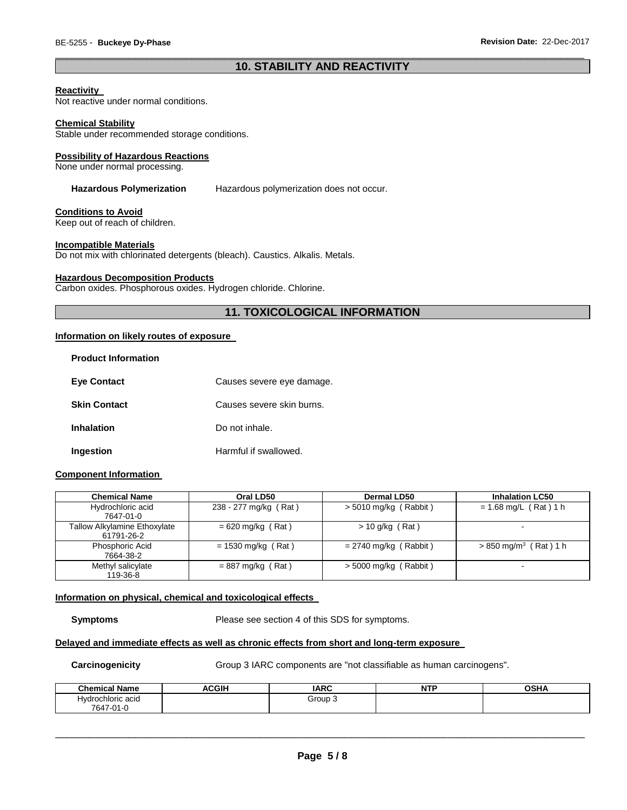## \_\_\_\_\_\_\_\_\_\_\_\_\_\_\_\_\_\_\_\_\_\_\_\_\_\_\_\_\_\_\_\_\_\_\_\_\_\_\_\_\_\_\_\_\_\_\_\_\_\_\_\_\_\_\_\_\_\_\_\_\_\_\_\_\_\_\_\_\_\_\_\_\_\_\_\_\_\_\_\_\_\_\_\_\_\_\_\_\_\_\_\_\_ **10. STABILITY AND REACTIVITY**

## **Reactivity**

Not reactive under normal conditions.

## **Chemical Stability**

Stable under recommended storage conditions.

### **Possibility of Hazardous Reactions**

None under normal processing.

**Hazardous Polymerization** Hazardous polymerization does not occur.

## **Conditions to Avoid**

Keep out of reach of children.

#### **Incompatible Materials**

Do not mix with chlorinated detergents (bleach). Caustics. Alkalis. Metals.

## **Hazardous Decomposition Products**

Carbon oxides. Phosphorous oxides. Hydrogen chloride. Chlorine.

## **11. TOXICOLOGICAL INFORMATION**

## **Information on likely routes of exposure**

| <b>Product Information</b> |                           |
|----------------------------|---------------------------|
| <b>Eve Contact</b>         | Causes severe eye damage. |
| <b>Skin Contact</b>        | Causes severe skin burns. |
| <b>Inhalation</b>          | Do not inhale.            |
| Ingestion                  | Harmful if swallowed.     |

## **Component Information**

| <b>Chemical Name</b>                       | Oral LD50             | <b>Dermal LD50</b>      | <b>Inhalation LC50</b>           |
|--------------------------------------------|-----------------------|-------------------------|----------------------------------|
| Hydrochloric acid<br>7647-01-0             | 238 - 277 mg/kg (Rat) | $> 5010$ mg/kg (Rabbit) | $= 1.68$ mg/L (Rat) 1 h          |
| Tallow Alkylamine Ethoxylate<br>61791-26-2 | $= 620$ mg/kg (Rat)   | $> 10$ g/kg (Rat)       | $\blacksquare$                   |
| Phosphoric Acid<br>7664-38-2               | $= 1530$ mg/kg (Rat)  | $= 2740$ mg/kg (Rabbit) | $> 850 \text{ mg/m}^3$ (Rat) 1 h |
| Methyl salicylate<br>119-36-8              | $= 887$ mg/kg (Rat)   | $>$ 5000 mg/kg (Rabbit) | -                                |

## **Information on physical, chemical and toxicological effects**

**Symptoms** Please see section 4 of this SDS for symptoms.

#### **Delayed and immediate effects as well as chronic effects from short and long-term exposure**

**Carcinogenicity** Group 3 IARC components are "not classifiable as human carcinogens".

| - - -<br>Chemical<br>Name                     | <b>ACGIH</b> | <b>IARC</b> | <b>NTF</b><br>. | <b>OSHA</b> |
|-----------------------------------------------|--------------|-------------|-----------------|-------------|
| Hvdrochloric acid<br>7647<br>$\sim$<br>7-01-G |              | Group ∶     |                 |             |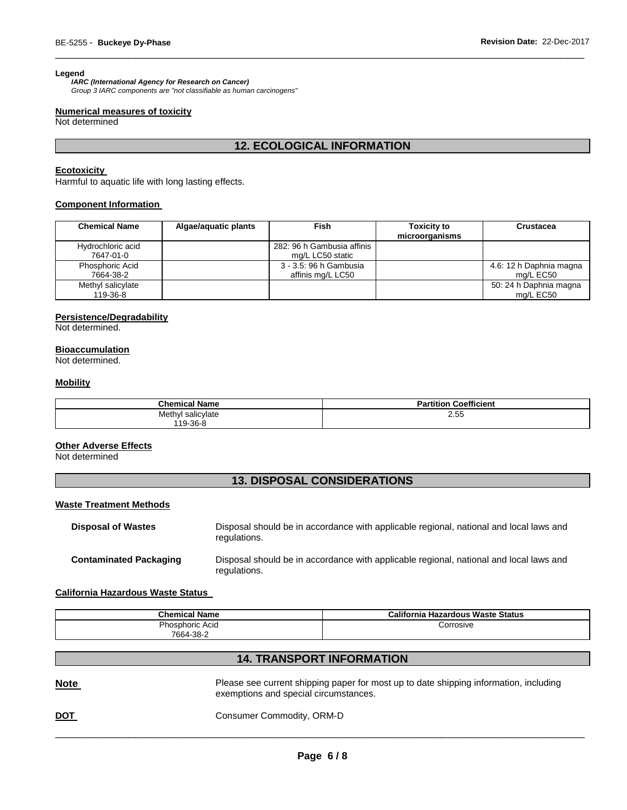## **Legend**

*IARC (International Agency for Research on Cancer) Group 3 IARC components are "not classifiable as human carcinogens"* 

## **Numerical measures of toxicity**

Not determined

## **12. ECOLOGICAL INFORMATION**

\_\_\_\_\_\_\_\_\_\_\_\_\_\_\_\_\_\_\_\_\_\_\_\_\_\_\_\_\_\_\_\_\_\_\_\_\_\_\_\_\_\_\_\_\_\_\_\_\_\_\_\_\_\_\_\_\_\_\_\_\_\_\_\_\_\_\_\_\_\_\_\_\_\_\_\_\_\_\_\_\_\_\_\_\_\_\_\_\_\_\_\_\_

## **Ecotoxicity**

Harmful to aquatic life with long lasting effects.

## **Component Information**

| <b>Chemical Name</b>           | Algae/aguatic plants | <b>Fish</b>                                    | <b>Toxicity to</b><br>microorganisms | Crustacea                            |
|--------------------------------|----------------------|------------------------------------------------|--------------------------------------|--------------------------------------|
| Hydrochloric acid<br>7647-01-0 |                      | 282: 96 h Gambusia affinis<br>mg/L LC50 static |                                      |                                      |
| Phosphoric Acid<br>7664-38-2   |                      | 3 - 3.5: 96 h Gambusia<br>affinis mg/L LC50    |                                      | 4.6: 12 h Daphnia magna<br>mg/L EC50 |
| Methyl salicylate<br>119-36-8  |                      |                                                |                                      | 50: 24 h Daphnia magna<br>mg/L EC50  |

## **Persistence/Degradability**

Not determined.

## **Bioaccumulation**

Not determined.

## **Mobility**

| <b>Chemical Name</b> | <b>Coefficient</b><br>Partition |
|----------------------|---------------------------------|
| Methyl salicylate    | 2.55                            |
| 119-36-8             |                                 |

## **Other Adverse Effects**

Not determined

# **13. DISPOSAL CONSIDERATIONS**

#### **Waste Treatment Methods**

| <b>Disposal of Wastes</b>     | Disposal should be in accordance with applicable regional, national and local laws and<br>regulations. |
|-------------------------------|--------------------------------------------------------------------------------------------------------|
| <b>Contaminated Packaging</b> | Disposal should be in accordance with applicable regional, national and local laws and<br>regulations. |

## **California Hazardous Waste Status**

| <b>Chemical Name</b>   | California Hazardous Waste Status |
|------------------------|-----------------------------------|
| <b>Phosphoric Acid</b> | Corrosive                         |
| 7664-38-2              |                                   |

# **14. TRANSPORT INFORMATION**

| <b>Note</b><br>$\sim$ $\sim$ | Please see current shipping paper for most up to date shipping information, including |
|------------------------------|---------------------------------------------------------------------------------------|
|                              | exemptions and special circumstances.                                                 |
|                              |                                                                                       |

**DOT Consumer Commodity, ORM-D**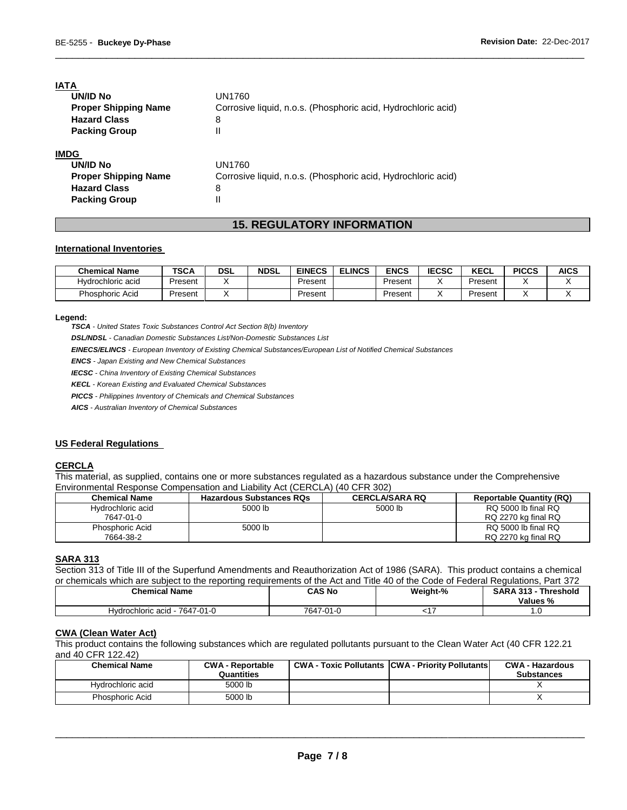| IAIA                        |                                                               |
|-----------------------------|---------------------------------------------------------------|
| UN/ID No                    | UN1760                                                        |
| <b>Proper Shipping Name</b> | Corrosive liquid, n.o.s. (Phosphoric acid, Hydrochloric acid) |
| <b>Hazard Class</b>         | 8                                                             |
| <b>Packing Group</b>        | Ш                                                             |
| <b>IMDG</b>                 |                                                               |
| <b>UN/ID No</b>             | UN1760                                                        |
| <b>Proper Shipping Name</b> | Corrosive liquid, n.o.s. (Phosphoric acid, Hydrochloric acid) |
| <b>Hazard Class</b>         | 8                                                             |
| <b>Packing Group</b>        |                                                               |

# **15. REGULATORY INFORMATION**

\_\_\_\_\_\_\_\_\_\_\_\_\_\_\_\_\_\_\_\_\_\_\_\_\_\_\_\_\_\_\_\_\_\_\_\_\_\_\_\_\_\_\_\_\_\_\_\_\_\_\_\_\_\_\_\_\_\_\_\_\_\_\_\_\_\_\_\_\_\_\_\_\_\_\_\_\_\_\_\_\_\_\_\_\_\_\_\_\_\_\_\_\_

## **International Inventories**

| <b>Chemical Name</b> | TSCA    | DSL | <b>NDSL</b> | <b>EINECS</b> | <b>ELINCS</b> | ENCS    | <b>IECSC</b> | <b>KECL</b> | <b>PICCS</b> | <b>AICS</b> |
|----------------------|---------|-----|-------------|---------------|---------------|---------|--------------|-------------|--------------|-------------|
| Hvdrochloric acid    | Present |     |             | Present       |               | Present |              | Present     |              |             |
| Phosphoric Acid      | Present |     |             | Present       |               | Present |              | Present     |              |             |

#### **Legend:**

**IATA** 

*TSCA - United States Toxic Substances Control Act Section 8(b) Inventory* 

*DSL/NDSL - Canadian Domestic Substances List/Non-Domestic Substances List* 

*EINECS/ELINCS - European Inventory of Existing Chemical Substances/European List of Notified Chemical Substances* 

*ENCS - Japan Existing and New Chemical Substances* 

*IECSC - China Inventory of Existing Chemical Substances* 

*KECL - Korean Existing and Evaluated Chemical Substances* 

*PICCS - Philippines Inventory of Chemicals and Chemical Substances* 

*AICS - Australian Inventory of Chemical Substances* 

## **US Federal Regulations**

## **CERCLA**

This material, as supplied, contains one or more substances regulated as a hazardous substance under the Comprehensive Environmental Response Compensation and Liability Act (CERCLA) (40 CFR 302)

| <b>Chemical Name</b> | <b>Hazardous Substances RQs</b> | <b>CERCLA/SARA RQ</b> | <b>Reportable Quantity (RQ)</b> |
|----------------------|---------------------------------|-----------------------|---------------------------------|
| Hydrochloric acid    | 5000 lb                         | 5000 lb               | RQ 5000 lb final RQ             |
| 7647-01-0            |                                 |                       | RQ 2270 kg final RQ             |
| Phosphoric Acid      | 5000 lb                         |                       | RQ 5000 lb final RQ             |
| 7664-38-2            |                                 |                       | RQ 2270 kg final RQ             |

## **SARA 313**

Section 313 of Title III of the Superfund Amendments and Reauthorization Act of 1986 (SARA). This product contains a chemical or chemicals which are subject to the reporting requirements of the Act and Title 40 of the Code of Federal Regulations, Part 372

| <b>Chemical Name</b>          | <b>CAS No</b> | Weight-% | <b>SARA 313 -</b><br>- Threshold<br>Values % |
|-------------------------------|---------------|----------|----------------------------------------------|
| Hydrochloric acid - 7647-01-0 | 7647-01-0     |          | $\cdot\cdot$                                 |

## **CWA (Clean Water Act)**

This product contains the following substances which are regulated pollutants pursuant to the Clean Water Act (40 CFR 122.21 and 40 CFR 122.42)

| <b>Chemical Name</b> | <b>CWA - Reportable</b><br>Quantities | <b>CWA - Toxic Pollutants CWA - Priority Pollutants</b> | <b>CWA - Hazardous</b><br><b>Substances</b> |
|----------------------|---------------------------------------|---------------------------------------------------------|---------------------------------------------|
| Hydrochloric acid    | 5000 lb                               |                                                         |                                             |
| Phosphoric Acid      | 5000 lb                               |                                                         |                                             |